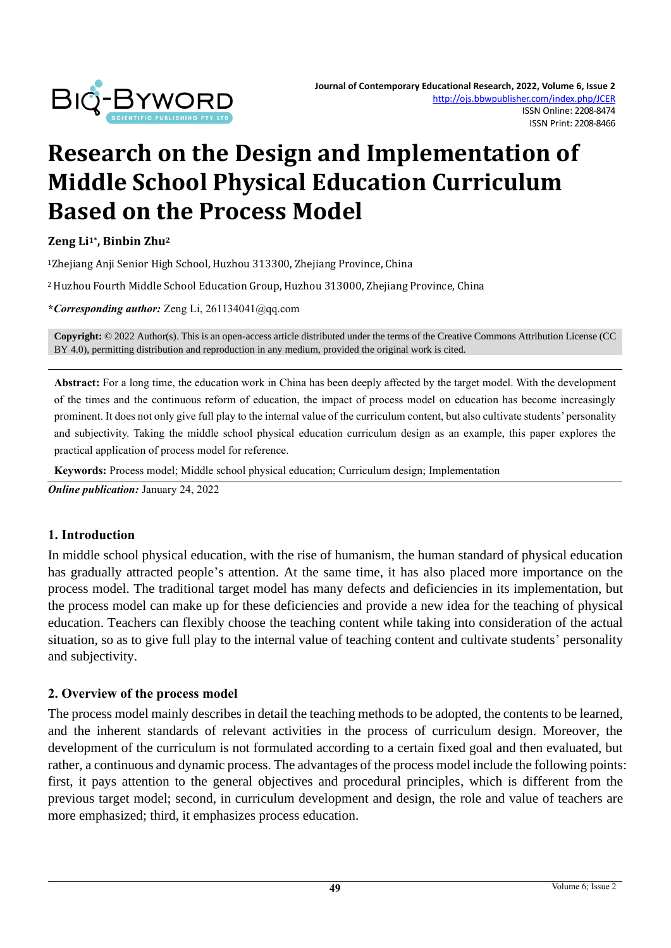

# **Research on the Design and Implementation of Middle School Physical Education Curriculum Based on the Process Model**

**Zeng Li1\* , Binbin Zhu<sup>2</sup>**

<sup>1</sup>Zhejiang Anji Senior High School, Huzhou 313300, Zhejiang Province, China

<sup>2</sup> Huzhou Fourth Middle School Education Group, Huzhou 313000, Zhejiang Province, China

**\****Corresponding author:* Zeng Li, 261134041@qq.com

**Copyright:** © 2022 Author(s). This is an open-access article distributed under the terms of th[e Creative Commons Attribution License \(CC](https://creativecommons.org/licenses/by/4.0/)  [BY 4.0\),](https://creativecommons.org/licenses/by/4.0/) permitting distribution and reproduction in any medium, provided the original work is cited.

**Abstract:** For a long time, the education work in China has been deeply affected by the target model. With the development of the times and the continuous reform of education, the impact of process model on education has become increasingly prominent. It does not only give full play to the internal value of the curriculum content, but also cultivate students'personality and subjectivity. Taking the middle school physical education curriculum design as an example, this paper explores the practical application of process model for reference.

**Keywords:** Process model; Middle school physical education; Curriculum design; Implementation

*Online publication:* January 24, 2022

#### **1. Introduction**

In middle school physical education, with the rise of humanism, the human standard of physical education has gradually attracted people's attention. At the same time, it has also placed more importance on the process model. The traditional target model has many defects and deficiencies in its implementation, but the process model can make up for these deficiencies and provide a new idea for the teaching of physical education. Teachers can flexibly choose the teaching content while taking into consideration of the actual situation, so as to give full play to the internal value of teaching content and cultivate students' personality and subjectivity.

#### **2. Overview of the process model**

The process model mainly describes in detail the teaching methods to be adopted, the contents to be learned, and the inherent standards of relevant activities in the process of curriculum design. Moreover, the development of the curriculum is not formulated according to a certain fixed goal and then evaluated, but rather, a continuous and dynamic process. The advantages of the process model include the following points: first, it pays attention to the general objectives and procedural principles, which is different from the previous target model; second, in curriculum development and design, the role and value of teachers are more emphasized; third, it emphasizes process education.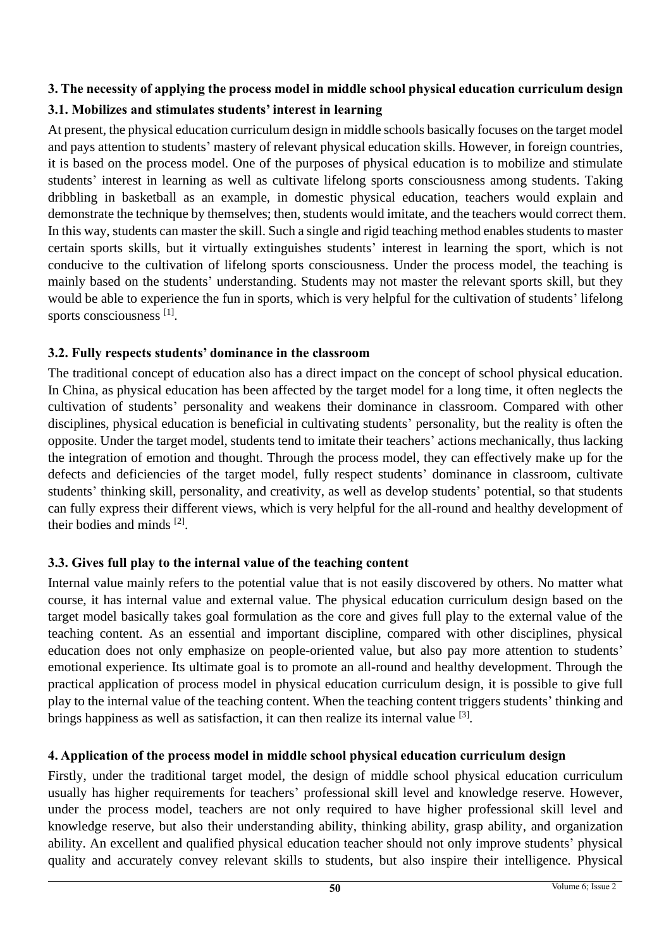# **3. The necessity of applying the process model in middle school physical education curriculum design**

# **3.1. Mobilizes and stimulates students' interest in learning**

At present, the physical education curriculum design in middle schools basically focuses on the target model and pays attention to students' mastery of relevant physical education skills. However, in foreign countries, it is based on the process model. One of the purposes of physical education is to mobilize and stimulate students' interest in learning as well as cultivate lifelong sports consciousness among students. Taking dribbling in basketball as an example, in domestic physical education, teachers would explain and demonstrate the technique by themselves; then, students would imitate, and the teachers would correct them. In this way, students can master the skill. Such a single and rigid teaching method enables students to master certain sports skills, but it virtually extinguishes students' interest in learning the sport, which is not conducive to the cultivation of lifelong sports consciousness. Under the process model, the teaching is mainly based on the students' understanding. Students may not master the relevant sports skill, but they would be able to experience the fun in sports, which is very helpful for the cultivation of students' lifelong sports consciousness [1].

### **3.2. Fully respects students' dominance in the classroom**

The traditional concept of education also has a direct impact on the concept of school physical education. In China, as physical education has been affected by the target model for a long time, it often neglects the cultivation of students' personality and weakens their dominance in classroom. Compared with other disciplines, physical education is beneficial in cultivating students' personality, but the reality is often the opposite. Under the target model, students tend to imitate their teachers' actions mechanically, thus lacking the integration of emotion and thought. Through the process model, they can effectively make up for the defects and deficiencies of the target model, fully respect students' dominance in classroom, cultivate students' thinking skill, personality, and creativity, as well as develop students' potential, so that students can fully express their different views, which is very helpful for the all-round and healthy development of their bodies and minds [2].

# **3.3. Gives full play to the internal value of the teaching content**

Internal value mainly refers to the potential value that is not easily discovered by others. No matter what course, it has internal value and external value. The physical education curriculum design based on the target model basically takes goal formulation as the core and gives full play to the external value of the teaching content. As an essential and important discipline, compared with other disciplines, physical education does not only emphasize on people-oriented value, but also pay more attention to students' emotional experience. Its ultimate goal is to promote an all-round and healthy development. Through the practical application of process model in physical education curriculum design, it is possible to give full play to the internal value of the teaching content. When the teaching content triggers students' thinking and brings happiness as well as satisfaction, it can then realize its internal value <sup>[3]</sup>.

### **4. Application of the process model in middle school physical education curriculum design**

Firstly, under the traditional target model, the design of middle school physical education curriculum usually has higher requirements for teachers' professional skill level and knowledge reserve. However, under the process model, teachers are not only required to have higher professional skill level and knowledge reserve, but also their understanding ability, thinking ability, grasp ability, and organization ability. An excellent and qualified physical education teacher should not only improve students' physical quality and accurately convey relevant skills to students, but also inspire their intelligence. Physical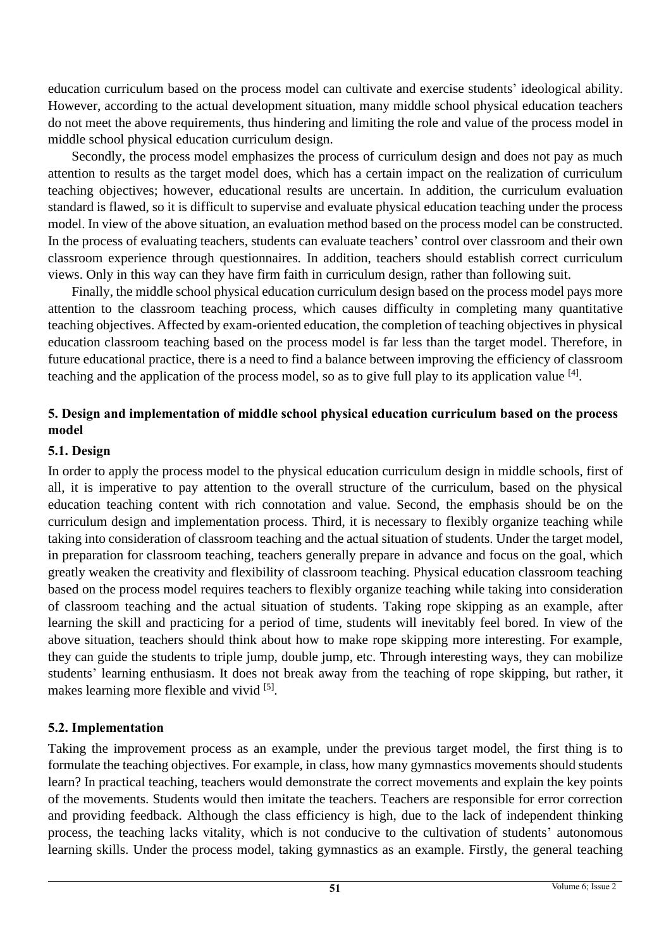education curriculum based on the process model can cultivate and exercise students' ideological ability. However, according to the actual development situation, many middle school physical education teachers do not meet the above requirements, thus hindering and limiting the role and value of the process model in middle school physical education curriculum design.

Secondly, the process model emphasizes the process of curriculum design and does not pay as much attention to results as the target model does, which has a certain impact on the realization of curriculum teaching objectives; however, educational results are uncertain. In addition, the curriculum evaluation standard is flawed, so it is difficult to supervise and evaluate physical education teaching under the process model. In view of the above situation, an evaluation method based on the process model can be constructed. In the process of evaluating teachers, students can evaluate teachers' control over classroom and their own classroom experience through questionnaires. In addition, teachers should establish correct curriculum views. Only in this way can they have firm faith in curriculum design, rather than following suit.

Finally, the middle school physical education curriculum design based on the process model pays more attention to the classroom teaching process, which causes difficulty in completing many quantitative teaching objectives. Affected by exam-oriented education, the completion of teaching objectives in physical education classroom teaching based on the process model is far less than the target model. Therefore, in future educational practice, there is a need to find a balance between improving the efficiency of classroom teaching and the application of the process model, so as to give full play to its application value <sup>[4]</sup>.

#### **5. Design and implementation of middle school physical education curriculum based on the process model**

#### **5.1. Design**

In order to apply the process model to the physical education curriculum design in middle schools, first of all, it is imperative to pay attention to the overall structure of the curriculum, based on the physical education teaching content with rich connotation and value. Second, the emphasis should be on the curriculum design and implementation process. Third, it is necessary to flexibly organize teaching while taking into consideration of classroom teaching and the actual situation of students. Under the target model, in preparation for classroom teaching, teachers generally prepare in advance and focus on the goal, which greatly weaken the creativity and flexibility of classroom teaching. Physical education classroom teaching based on the process model requires teachers to flexibly organize teaching while taking into consideration of classroom teaching and the actual situation of students. Taking rope skipping as an example, after learning the skill and practicing for a period of time, students will inevitably feel bored. In view of the above situation, teachers should think about how to make rope skipping more interesting. For example, they can guide the students to triple jump, double jump, etc. Through interesting ways, they can mobilize students' learning enthusiasm. It does not break away from the teaching of rope skipping, but rather, it makes learning more flexible and vivid [5].

### **5.2. Implementation**

Taking the improvement process as an example, under the previous target model, the first thing is to formulate the teaching objectives. For example, in class, how many gymnastics movements should students learn? In practical teaching, teachers would demonstrate the correct movements and explain the key points of the movements. Students would then imitate the teachers. Teachers are responsible for error correction and providing feedback. Although the class efficiency is high, due to the lack of independent thinking process, the teaching lacks vitality, which is not conducive to the cultivation of students' autonomous learning skills. Under the process model, taking gymnastics as an example. Firstly, the general teaching